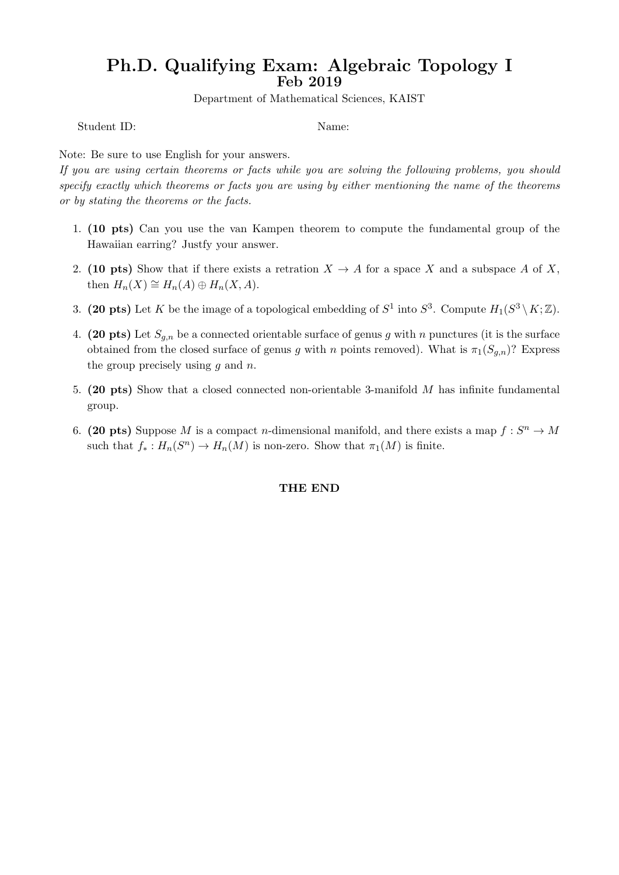### Ph.D. Qualifying Exam: Algebraic Topology I Feb 2019

Department of Mathematical Sciences, KAIST

Student ID: Name:

Note: Be sure to use English for your answers.

If you are using certain theorems or facts while you are solving the following problems, you should specify exactly which theorems or facts you are using by either mentioning the name of the theorems or by stating the theorems or the facts.

- 1. (10 pts) Can you use the van Kampen theorem to compute the fundamental group of the Hawaiian earring? Justfy your answer.
- 2. (10 pts) Show that if there exists a retration  $X \to A$  for a space X and a subspace A of X, then  $H_n(X) \cong H_n(A) \oplus H_n(X, A)$ .
- 3. (20 pts) Let K be the image of a topological embedding of  $S^1$  into  $S^3$ . Compute  $H_1(S^3 \setminus K; \mathbb{Z})$ .
- 4. (20 pts) Let  $S_{g,n}$  be a connected orientable surface of genus g with n punctures (it is the surface obtained from the closed surface of genus g with n points removed). What is  $\pi_1(S_{q,n})$ ? Express the group precisely using  $q$  and  $n$ .
- 5. (20 pts) Show that a closed connected non-orientable 3-manifold M has infinite fundamental group.
- 6. (20 pts) Suppose M is a compact n-dimensional manifold, and there exists a map  $f: S^n \to M$ such that  $f_*: H_n(S^n) \to H_n(M)$  is non-zero. Show that  $\pi_1(M)$  is finite.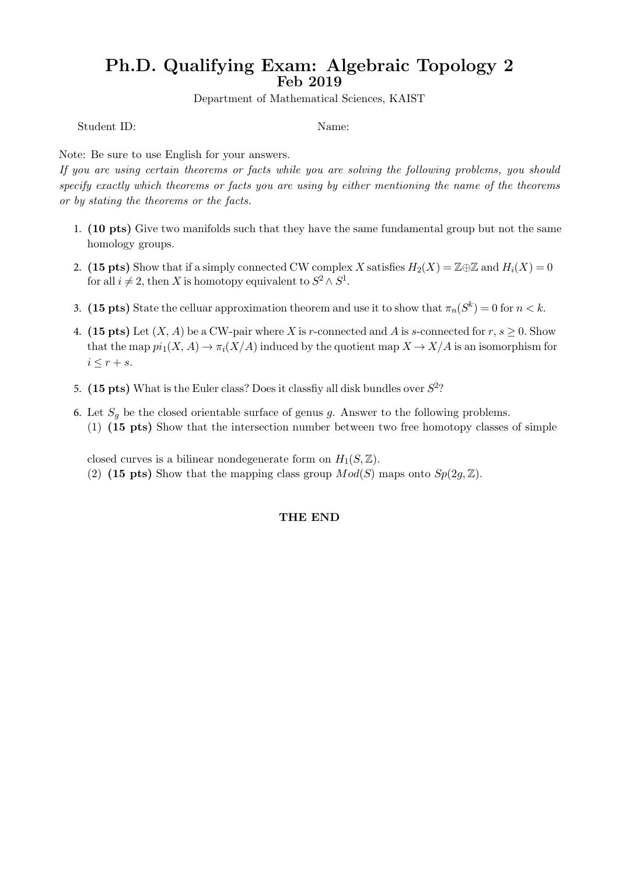### Ph.D. Qualifying Exam: Algebraic Topology 2 Feb 2019

Department of Mathematical Sciences, KAIST

Student ID: Name:

Note: Be sure to use English for your answers.

If you are using certain theorems or facts while you are solving the following problems, you should specify exactly which theorems or facts you are using by either mentioning the name of the theorems or by stating the theorems or the facts.

- 1. (10 pts) Give two manifolds such that they have the same fundamental group but not the same homology groups.
- 2. (15 pts) Show that if a simply connected CW complex X satisfies  $H_2(X) = \mathbb{Z} \oplus \mathbb{Z}$  and  $H_i(X) = 0$ for all  $i \neq 2$ , then X is homotopy equivalent to  $S^2 \wedge S^1$ .
- 3. (15 pts) State the celluar approximation theorem and use it to show that  $\pi_n(S^k) = 0$  for  $n < k$ .
- 4. (15 pts) Let  $(X, A)$  be a CW-pair where X is r-connected and A is s-connected for  $r, s \geq 0$ . Show that the map  $pi_1(X, A) \to \pi_i(X/A)$  induced by the quotient map  $X \to X/A$  is an isomorphism for  $i \leq r + s$ .
- 5. (15 pts) What is the Euler class? Does it classfiy all disk bundles over  $S^2$ ?
- 6. Let  $S_q$  be the closed orientable surface of genus g. Answer to the following problems. (1) (15 pts) Show that the intersection number between two free homotopy classes of simple

closed curves is a bilinear nondegenerate form on  $H_1(S, \mathbb{Z})$ . (2) (15 pts) Show that the mapping class group  $Mod(S)$  maps onto  $Sp(2g, \mathbb{Z})$ .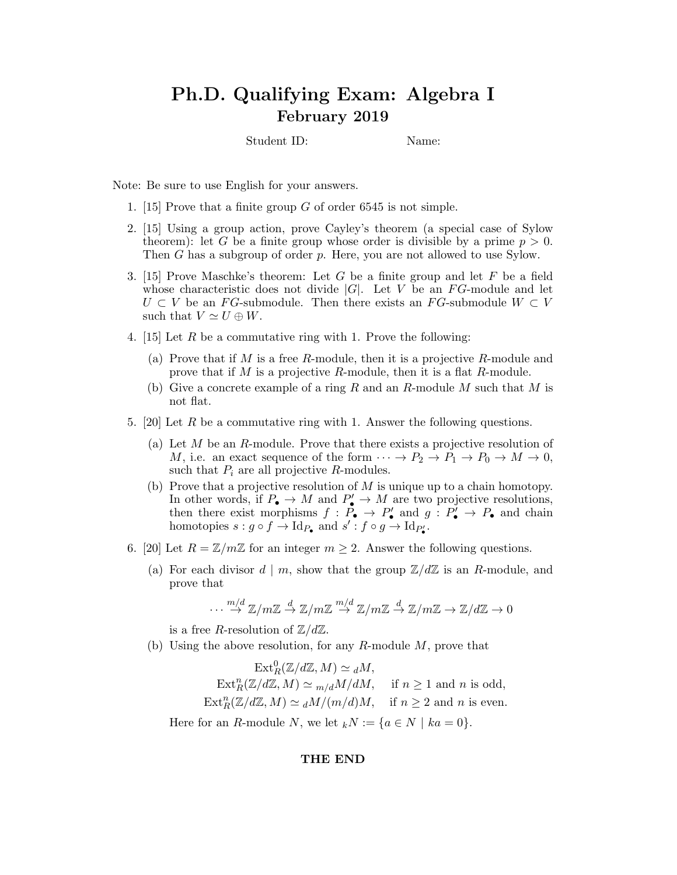# Ph.D. Qualifying Exam: Algebra I February 2019

Student ID: Name:

Note: Be sure to use English for your answers.

- 1. [15] Prove that a finite group  $G$  of order 6545 is not simple.
- 2. [15] Using a group action, prove Cayley's theorem (a special case of Sylow theorem): let G be a finite group whose order is divisible by a prime  $p > 0$ . Then G has a subgroup of order p. Here, you are not allowed to use Sylow.
- 3. [15] Prove Maschke's theorem: Let G be a finite group and let F be a field whose characteristic does not divide  $|G|$ . Let V be an FG-module and let  $U \subset V$  be an FG-submodule. Then there exists an FG-submodule  $W \subset V$ such that  $V \simeq U \oplus W$ .
- 4. [15] Let R be a commutative ring with 1. Prove the following:
	- (a) Prove that if  $M$  is a free  $R$ -module, then it is a projective  $R$ -module and prove that if M is a projective R-module, then it is a flat R-module.
	- (b) Give a concrete example of a ring R and an R-module M such that M is not flat.
- 5. [20] Let  $R$  be a commutative ring with 1. Answer the following questions.
	- (a) Let  $M$  be an  $R$ -module. Prove that there exists a projective resolution of M, i.e. an exact sequence of the form  $\cdots \rightarrow P_2 \rightarrow P_1 \rightarrow P_0 \rightarrow M \rightarrow 0$ , such that  $P_i$  are all projective  $R$ -modules.
	- (b) Prove that a projective resolution of  $M$  is unique up to a chain homotopy. In other words, if  $P_{\bullet} \to M$  and  $P'_{\bullet} \to M$  are two projective resolutions, then there exist morphisms  $f : P_{\bullet} \to P'_{\bullet}$  and  $g : P'_{\bullet} \to P_{\bullet}$  and chain homotopies  $s : g \circ f \to \mathrm{Id}_{P_{\bullet}}$  and  $s' : f \circ g \to \mathrm{Id}_{P'_{\bullet}}$ .
- 6. [20] Let  $R = \mathbb{Z}/m\mathbb{Z}$  for an integer  $m \geq 2$ . Answer the following questions.
	- (a) For each divisor  $d \mid m$ , show that the group  $\mathbb{Z}/d\mathbb{Z}$  is an R-module, and prove that

$$
\cdots \stackrel{m/d}{\to} \mathbb{Z}/m\mathbb{Z} \stackrel{d}{\to} \mathbb{Z}/m\mathbb{Z} \stackrel{m/d}{\to} \mathbb{Z}/m\mathbb{Z} \stackrel{d}{\to} \mathbb{Z}/m\mathbb{Z} \to \mathbb{Z}/d\mathbb{Z} \to 0
$$

is a free R-resolution of  $\mathbb{Z}/d\mathbb{Z}$ .

(b) Using the above resolution, for any  $R$ -module  $M$ , prove that

 $\text{Ext}_{R}^{0}(\mathbb{Z}/d\mathbb{Z}, M) \simeq {}_{d}M,$  $\text{Ext}_{R}^{n}(\mathbb{Z}/d\mathbb{Z}, M) \simeq {}_{m/d}M/dM, \quad \text{ if } n \geq 1 \text{ and } n \text{ is odd},$  $\text{Ext}_{R}^{n}(\mathbb{Z}/d\mathbb{Z}, M) \simeq {}_{d}M/(m/d)M, \quad \text{if } n \geq 2 \text{ and } n \text{ is even.}$ 

Here for an R-module N, we let  $_kN := \{a \in N \mid ka = 0\}.$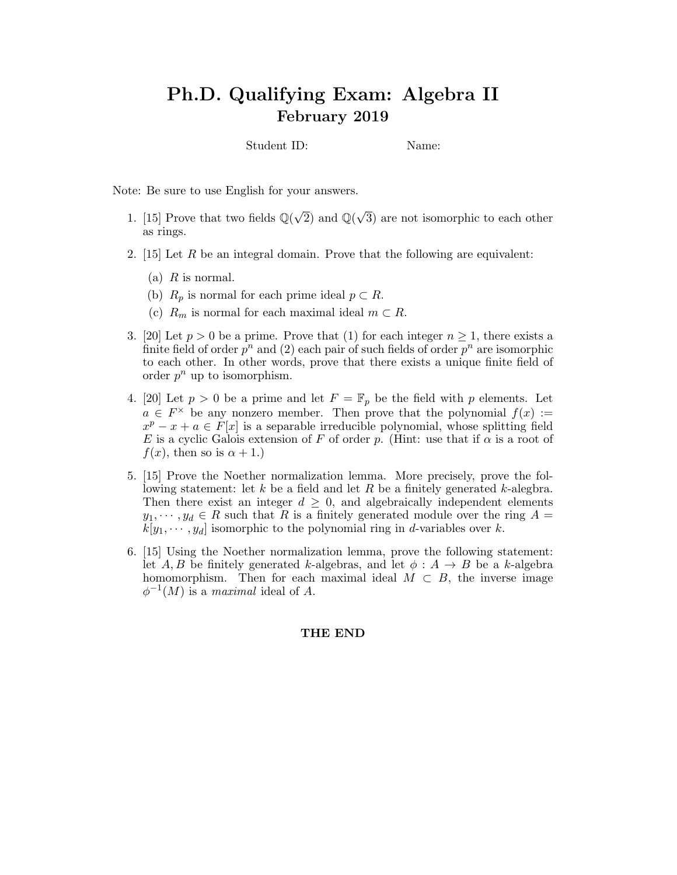# Ph.D. Qualifying Exam: Algebra II February 2019

Student ID: Name:

Note: Be sure to use English for your answers.

- 1. [15] Prove that two fields  $\mathbb{Q}(\sqrt{2})$  and  $\mathbb{Q}(\sqrt{2})$ 3) are not isomorphic to each other as rings.
- 2. [15] Let  $R$  be an integral domain. Prove that the following are equivalent:
	- (a)  $R$  is normal.
	- (b)  $R_p$  is normal for each prime ideal  $p \subset R$ .
	- (c)  $R_m$  is normal for each maximal ideal  $m \subset R$ .
- 3. [20] Let  $p > 0$  be a prime. Prove that (1) for each integer  $n \geq 1$ , there exists a finite field of order  $p^n$  and (2) each pair of such fields of order  $p^n$  are isomorphic to each other. In other words, prove that there exists a unique finite field of order  $p^n$  up to isomorphism.
- 4. [20] Let  $p > 0$  be a prime and let  $F = \mathbb{F}_p$  be the field with p elements. Let  $a \in F^{\times}$  be any nonzero member. Then prove that the polynomial  $f(x) :=$  $x^p - x + a \in \mathring{F}[x]$  is a separable irreducible polynomial, whose splitting field E is a cyclic Galois extension of F of order p. (Hint: use that if  $\alpha$  is a root of  $f(x)$ , then so is  $\alpha + 1$ .
- 5. [15] Prove the Noether normalization lemma. More precisely, prove the following statement: let k be a field and let R be a finitely generated k-alegbra. Then there exist an integer  $d \geq 0$ , and algebraically independent elements  $y_1, \dots, y_d \in R$  such that R is a finitely generated module over the ring  $A =$  $k[y_1, \dots, y_d]$  isomorphic to the polynomial ring in *d*-variables over k.
- 6. [15] Using the Noether normalization lemma, prove the following statement: let A, B be finitely generated k-algebras, and let  $\phi : A \rightarrow B$  be a k-algebra homomorphism. Then for each maximal ideal  $M \subset B$ , the inverse image  $\phi^{-1}(M)$  is a maximal ideal of A.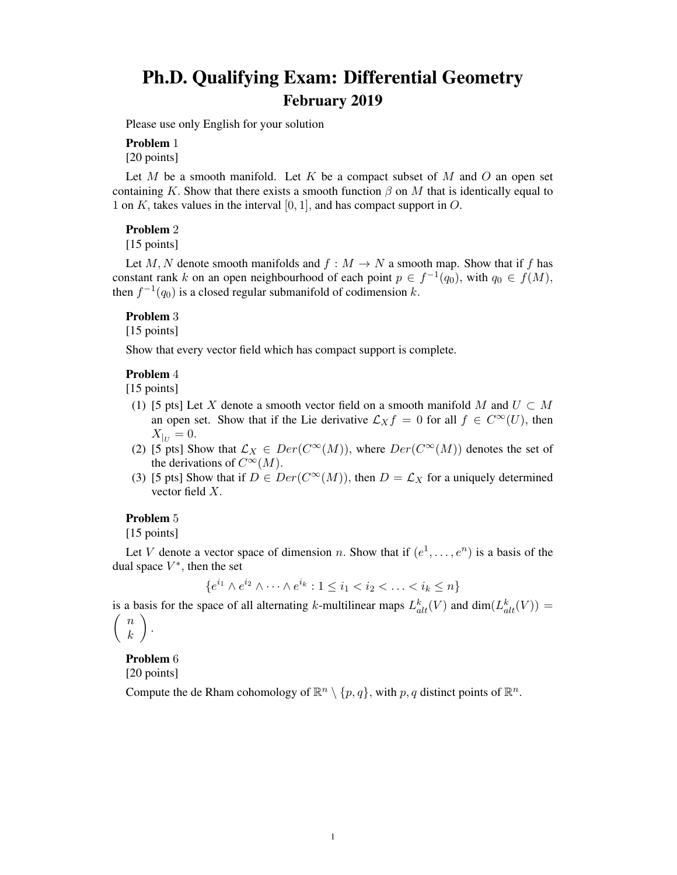### Ph.D. Qualifying Exam: Differential Geometry February 2019

Please use only English for your solution

#### Problem 1

[20 points]

Let  $M$  be a smooth manifold. Let  $K$  be a compact subset of  $M$  and  $O$  an open set containing K. Show that there exists a smooth function  $\beta$  on M that is identically equal to 1 on K, takes values in the interval  $[0, 1]$ , and has compact support in O.

#### Problem 2

[15 points]

Let M, N denote smooth manifolds and  $f : M \to N$  a smooth map. Show that if f has constant rank k on an open neighbourhood of each point  $p \in f^{-1}(q_0)$ , with  $q_0 \in f(M)$ , then  $f^{-1}(q_0)$  is a closed regular submanifold of codimension k.

### Problem 3

[15 points]

Show that every vector field which has compact support is complete.

#### Problem 4

[15 points]

- (1) [5 pts] Let X denote a smooth vector field on a smooth manifold M and  $U \subset M$ an open set. Show that if the Lie derivative  $\mathcal{L}_Xf = 0$  for all  $f \in C^{\infty}(U)$ , then  $X_{|_{U}} = 0.$
- (2) [5 pts] Show that  $\mathcal{L}_X \in Der(C^{\infty}(M))$ , where  $Der(C^{\infty}(M))$  denotes the set of the derivations of  $C^{\infty}(M)$ .
- (3) [5 pts] Show that if  $D \in Der(C^{\infty}(M))$ , then  $D = \mathcal{L}_X$  for a uniquely determined vector field X.

#### Problem 5

[15 points]

Let V denote a vector space of dimension n. Show that if  $(e^1, \ldots, e^n)$  is a basis of the dual space  $V^*$ , then the set

$$
\{e^{i_1} \wedge e^{i_2} \wedge \dots \wedge e^{i_k} : 1 \le i_1 < i_2 < \dots < i_k \le n\}
$$

is a basis for the space of all alternating k-multilinear maps  $L_{alt}^k(V)$  and  $dim(L_{alt}^k(V))$  =  $\binom{n}{n}$ k  $\big).$ 

#### Problem 6

[20 points]

Compute the de Rham cohomology of  $\mathbb{R}^n \setminus \{p, q\}$ , with p, q distinct points of  $\mathbb{R}^n$ .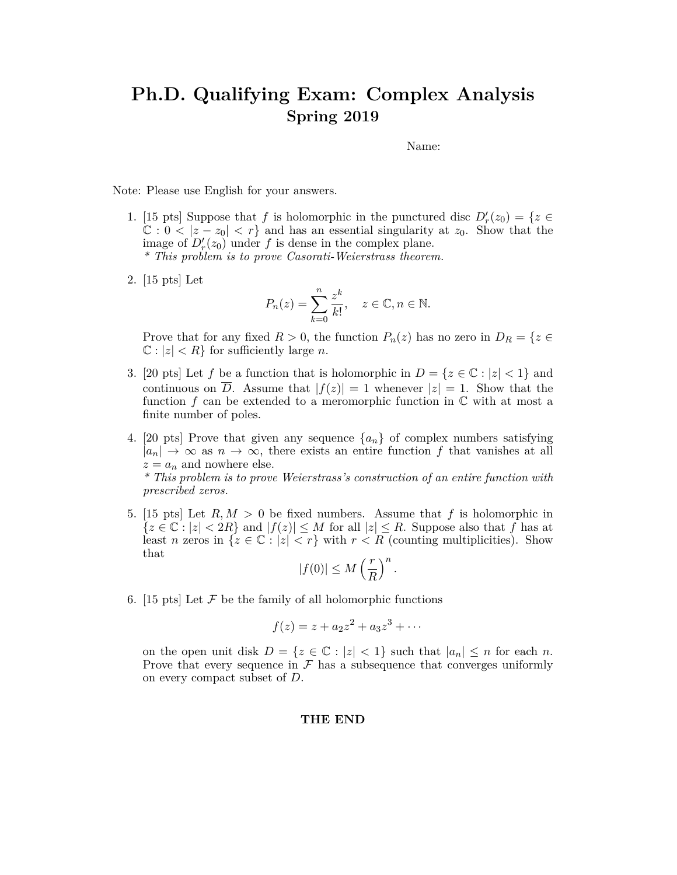# **Ph.D. Qualifying Exam: Complex Analysis Spring 2019**

Name:

Note: Please use English for your answers.

- 1. [15 pts] Suppose that *f* is holomorphic in the punctured disc  $D'_r(z_0) = \{z \in$  $\mathbb{C}: 0 < |z - z_0| < r$  and has an essential singularity at  $z_0$ . Show that the image of  $D'_r(z_0)$  under f is dense in the complex plane. *\* This problem is to prove Casorati-Weierstrass theorem.*
- 2. [15 pts] Let

$$
P_n(z) = \sum_{k=0}^n \frac{z^k}{k!}, \quad z \in \mathbb{C}, n \in \mathbb{N}.
$$

Prove that for any fixed  $R > 0$ , the function  $P_n(z)$  has no zero in  $D_R = \{z \in \mathbb{R}^n : |z| \leq R\}$  $\mathbb{C}: |z| < R$  for sufficiently large *n*.

- 3. [20 pts] Let f be a function that is holomorphic in  $D = \{z \in \mathbb{C} : |z| < 1\}$  and continuous on  $\overline{D}$ . Assume that  $|f(z)| = 1$  whenever  $|z| = 1$ . Show that the function  $f$  can be extended to a meromorphic function in  $\mathbb C$  with at most a finite number of poles.
- 4. [20 pts] Prove that given any sequence  $\{a_n\}$  of complex numbers satisfying  $|a_n| \to \infty$  as  $n \to \infty$ , there exists an entire function f that vanishes at all  $z = a_n$  and nowhere else.

*\* This problem is to prove Weierstrass's construction of an entire function with prescribed zeros.*

5. [15 pts] Let *R, M >* 0 be fixed numbers. Assume that *f* is holomorphic in  ${z \in \mathbb{C} : |z| < 2R}$  and  $|f(z)| \le M$  for all  $|z| \le R$ . Suppose also that *f* has at least *n* zeros in  $\{z \in \mathbb{C} : |z| < r\}$  with  $r < R$  (counting multiplicities). Show that

$$
|f(0)|\leq M\left(\frac{r}{R}\right)^n.
$$

6. [15 pts] Let  $\mathcal F$  be the family of all holomorphic functions

$$
f(z) = z + a_2 z^2 + a_3 z^3 + \cdots
$$

on the open unit disk  $D = \{z \in \mathbb{C} : |z| < 1\}$  such that  $|a_n| \leq n$  for each *n*. Prove that every sequence in  $\mathcal F$  has a subsequence that converges uniformly on every compact subset of *D*.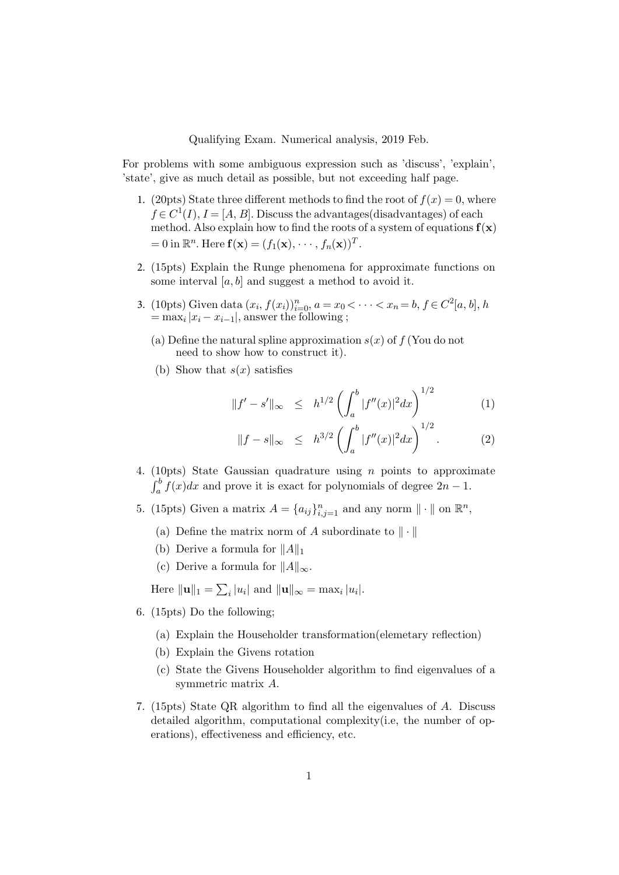Qualifying Exam. Numerical analysis, 2019 Feb.

For problems with some ambiguous expression such as 'discuss', 'explain', 'state', give as much detail as possible, but not exceeding half page.

- 1. (20pts) State three different methods to find the root of  $f(x) = 0$ , where  $f \in C^1(I)$ ,  $I = [A, B]$ . Discuss the advantages (disadvantages) of each method. Also explain how to find the roots of a system of equations  $f(x)$  $= 0$  in  $\mathbb{R}^n$ . Here  $\mathbf{f}(\mathbf{x}) = (f_1(\mathbf{x}), \cdots, f_n(\mathbf{x}))^T$ .
- 2. (15pts) Explain the Runge phenomena for approximate functions on some interval  $[a, b]$  and suggest a method to avoid it.
- 3. (10pts) Given data  $(x_i, f(x_i))_{i=0}^n$ ,  $a = x_0 < \cdots < x_n = b, f \in C^2[a, b], h$  $=\max_i |x_i - x_{i-1}|$ , answer the following ;
	- (a) Define the natural spline approximation  $s(x)$  of  $f$  (You do not need to show how to construct it).
	- (b) Show that  $s(x)$  satisfies

$$
||f' - s'||_{\infty} \leq h^{1/2} \left( \int_{a}^{b} |f''(x)|^2 dx \right)^{1/2} \tag{1}
$$

$$
||f - s||_{\infty} \leq h^{3/2} \left( \int_{a}^{b} |f''(x)|^2 dx \right)^{1/2}.
$$
 (2)

- 4. (10pts) State Gaussian quadrature using  $n$  points to approximate  $\int_a^b f(x)dx$  and prove it is exact for polynomials of degree  $2n-1$ .
- 5. (15pts) Given a matrix  $A = \{a_{ij}\}_{i,j=1}^n$  and any norm  $\|\cdot\|$  on  $\mathbb{R}^n$ ,
	- (a) Define the matrix norm of A subordinate to  $\|\cdot\|$
	- (b) Derive a formula for  $||A||_1$
	- (c) Derive a formula for  $||A||_{\infty}$ .

Here  $\|\mathbf{u}\|_1 = \sum_i |u_i|$  and  $\|\mathbf{u}\|_{\infty} = \max_i |u_i|$ .

- 6. (15pts) Do the following;
	- (a) Explain the Householder transformation(elemetary reflection)
	- (b) Explain the Givens rotation
	- (c) State the Givens Householder algorithm to find eigenvalues of a symmetric matrix A.
- 7. (15pts) State QR algorithm to find all the eigenvalues of A. Discuss detailed algorithm, computational complexity(i.e, the number of operations), effectiveness and efficiency, etc.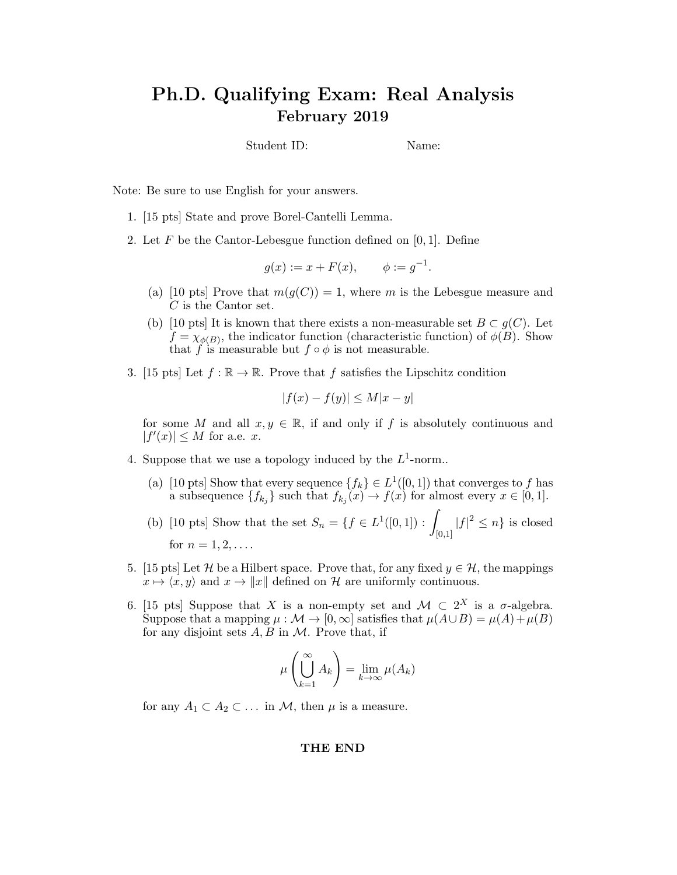# Ph.D. Qualifying Exam: Real Analysis February 2019

Student ID: Name:

Note: Be sure to use English for your answers.

- 1. [15 pts] State and prove Borel-Cantelli Lemma.
- 2. Let  $F$  be the Cantor-Lebesgue function defined on [0, 1]. Define

$$
g(x) := x + F(x), \qquad \phi := g^{-1}.
$$

- (a) [10 pts] Prove that  $m(g(C)) = 1$ , where m is the Lebesgue measure and  $C$  is the Cantor set.
- (b) [10 pts] It is known that there exists a non-measurable set  $B \subset g(C)$ . Let  $f = \chi_{\phi(B)}$ , the indicator function (characteristic function) of  $\phi(B)$ . Show that f is measurable but  $f \circ \phi$  is not measurable.
- 3. [15 pts] Let  $f : \mathbb{R} \to \mathbb{R}$ . Prove that f satisfies the Lipschitz condition

$$
|f(x) - f(y)| \le M|x - y|
$$

for some M and all  $x, y \in \mathbb{R}$ , if and only if f is absolutely continuous and  $|f'(x)| \leq M$  for a.e. x.

- 4. Suppose that we use a topology induced by the  $L^1$ -norm.
	- (a) [10 pts] Show that every sequence  $\{f_k\} \in L^1([0,1])$  that converges to f has a subsequence  $\{f_{k_j}\}\$  such that  $f_{k_j}(x) \to f(x)$  for almost every  $x \in [0,1]$ .
	- (b) [10 pts] Show that the set  $S_n = \{ f \in L^1([0,1]) : \ \}$  $[0,1]$  $|f|^2 \leq n$  is closed for  $n = 1, 2, \ldots$ .
- 5. [15 pts] Let H be a Hilbert space. Prove that, for any fixed  $y \in \mathcal{H}$ , the mappings  $x \mapsto \langle x, y \rangle$  and  $x \mapsto ||x||$  defined on H are uniformly continuous.
- 6. [15 pts] Suppose that X is a non-empty set and  $\mathcal{M} \subset 2^X$  is a  $\sigma$ -algebra. Suppose that a mapping  $\mu : \mathcal{M} \to [0, \infty]$  satisfies that  $\mu(A \cup B) = \mu(A) + \mu(B)$ for any disjoint sets  $A, B$  in  $M$ . Prove that, if

$$
\mu\left(\bigcup_{k=1}^{\infty} A_k\right) = \lim_{k \to \infty} \mu(A_k)
$$

for any  $A_1 \subset A_2 \subset \ldots$  in M, then  $\mu$  is a measure.